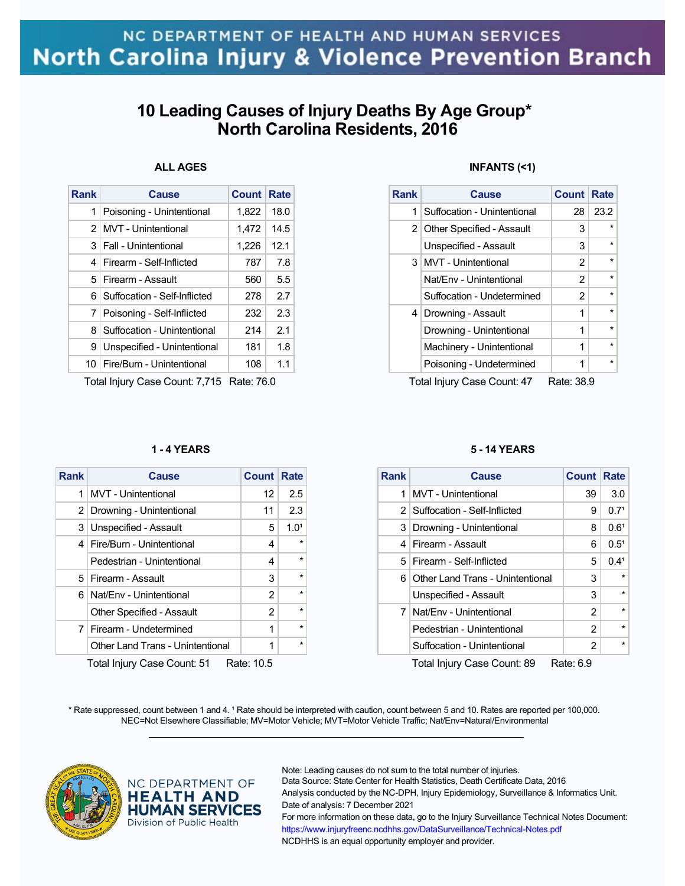# **10 Leading Causes of Injury Deaths By Age Group\* North Carolina Residents, 2016**

## **ALL AGES**

| <b>Rank</b>    | Cause                        | <b>Count</b> | Rate |
|----------------|------------------------------|--------------|------|
| 1              | Poisoning - Unintentional    | 1.822        | 18.0 |
| 2 <sub>1</sub> | <b>MVT</b> - Unintentional   | 1,472        | 14.5 |
| 3 <sup>1</sup> | Fall - Unintentional         | 1,226        | 12.1 |
|                | 4   Firearm - Self-Inflicted | 787          | 7.8  |
|                | 5 Firearm - Assault          | 560          | 5.5  |
| 6.             | Suffocation - Self-Inflicted | 278          | 2.7  |
| 7              | Poisoning - Self-Inflicted   | 232          | 2.3  |
| 8              | Suffocation - Unintentional  | 214          | 2.1  |
| 9              | Unspecified - Unintentional  | 181          | 1.8  |
| 10.            | Fire/Burn - Unintentional    | 108          | 1.1  |
|                |                              |              |      |

Total Injury Case Count: 7,715 Rate: 76.0

#### **1 - 4 YEARS**

| <b>Rank</b>                               | <b>Cause</b>                     | <b>Count Rate</b> |           |
|-------------------------------------------|----------------------------------|-------------------|-----------|
| 1                                         | <b>MVT</b> - Unintentional       | 12                | 2.5       |
| 2 <sup>1</sup>                            | Drowning - Unintentional         | 11                | 2.3       |
| 3                                         | Unspecified - Assault            | 5                 | $1.0^{1}$ |
| $\overline{4}$                            | Fire/Burn - Unintentional        | 4                 | $\star$   |
|                                           | Pedestrian - Unintentional       | 4                 | $\star$   |
|                                           | 5   Firearm - Assault            | 3                 | $\star$   |
|                                           | 6   Nat/Env - Unintentional      | 2                 | $\star$   |
|                                           | Other Specified - Assault        | 2                 | $\star$   |
| $\mathbf{7}$                              | Firearm - Undetermined           | 1                 | $\star$   |
|                                           | Other Land Trans - Unintentional | 1                 | $\star$   |
| Total Injury Case Count: 51<br>Rate: 10.5 |                                  |                   |           |

### **INFANTS (<1)**

| <b>Rank</b>    | Cause                       | <b>Count Rate</b> |         |
|----------------|-----------------------------|-------------------|---------|
| 1              | Suffocation - Unintentional | 28                | 23.2    |
|                | 2 Other Specified - Assault | 3                 |         |
|                | Unspecified - Assault       | 3                 |         |
|                | 3   MVT - Unintentional     | 2                 | $\star$ |
|                | Nat/Env - Unintentional     | 2                 |         |
|                | Suffocation - Undetermined  | 2                 | $\star$ |
| 4 <sup>1</sup> | Drowning - Assault          | 1                 | $\star$ |
|                | Drowning - Unintentional    | 1                 |         |
|                | Machinery - Unintentional   | 1                 | $\star$ |
|                | Poisoning - Undetermined    | 1                 |         |

Total Injury Case Count: 47 Rate: 38.9

#### **5 - 14 YEARS**

| <b>Rank</b> | <b>Cause</b>                       | <b>Count Rate</b> |                  |
|-------------|------------------------------------|-------------------|------------------|
| 1           | MVT - Unintentional                | 39                | 3.0              |
|             | 2   Suffocation - Self-Inflicted   | 9                 | 0.7 <sup>1</sup> |
|             | 3   Drowning - Unintentional       | 8                 | 0.6 <sup>1</sup> |
|             | 4   Firearm - Assault              | 6                 | $0.5^{1}$        |
|             | 5   Firearm - Self-Inflicted       | 5                 | 0.41             |
|             | 6 Other Land Trans - Unintentional | 3                 | $\star$          |
|             | Unspecified - Assault              | 3                 | $\star$          |
|             | 7   Nat/Env - Unintentional        | 2                 | $\star$          |
|             | Pedestrian - Unintentional         | 2                 | $\star$          |
|             | Suffocation - Unintentional        | 2                 | $\star$          |
|             |                                    |                   |                  |

Total Injury Case Count: 89 Rate: 6.9

\* Rate suppressed, count between 1 and 4. <sup>1</sup> Rate should be interpreted with caution, count between 5 and 10. Rates are reported per 100,000. NEC=Not Elsewhere Classifiable; MV=Motor Vehicle; MVT=Motor Vehicle Traffic; Nat/Env=Natural/Environmental  $\mathcal{L}_\mathcal{L} = \{ \mathcal{L}_\mathcal{L} = \{ \mathcal{L}_\mathcal{L} = \{ \mathcal{L}_\mathcal{L} = \{ \mathcal{L}_\mathcal{L} = \{ \mathcal{L}_\mathcal{L} = \{ \mathcal{L}_\mathcal{L} = \{ \mathcal{L}_\mathcal{L} = \{ \mathcal{L}_\mathcal{L} = \{ \mathcal{L}_\mathcal{L} = \{ \mathcal{L}_\mathcal{L} = \{ \mathcal{L}_\mathcal{L} = \{ \mathcal{L}_\mathcal{L} = \{ \mathcal{L}_\mathcal{L} = \{ \mathcal{L}_\mathcal{$ 



NC DEPARTMENT OF **HEALTH AND HUMAN SERVICES** Division of Public Health

Note: Leading causes do not sum to the total number of injuries.

Data Source: State Center for Health Statistics, Death Certificate Data, 2016 Analysis conducted by the NC-DPH, Injury Epidemiology, Surveillance & Informatics Unit. Date of analysis: 7 December 2021

For more information on these data, go to the Injury Surveillance Technical Notes Document: https://www.injuryfreenc.ncdhhs.gov/DataSurveillance/Technical-Notes.pdf NCDHHS is an equal opportunity employer and provider.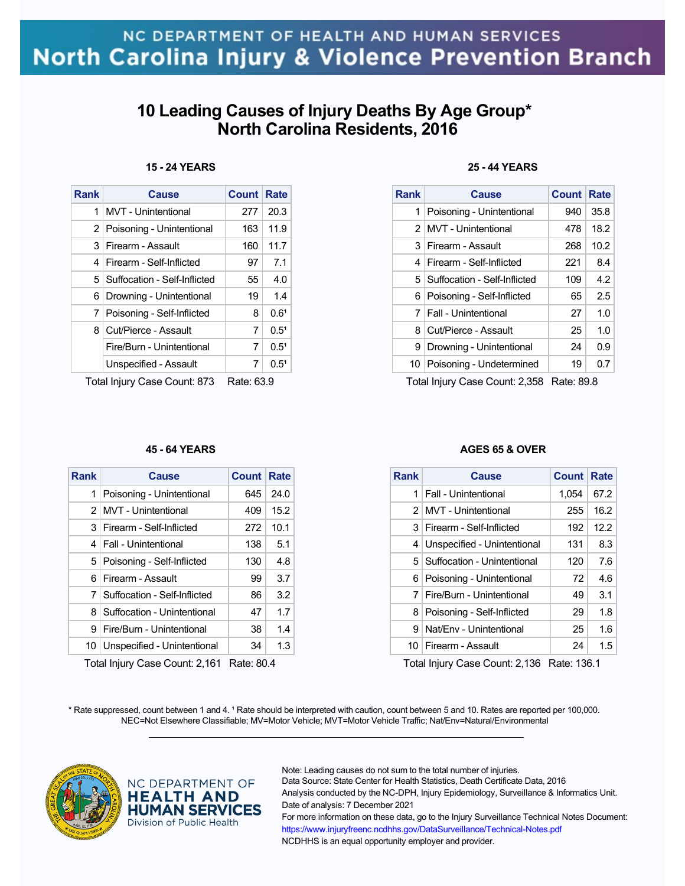# **10 Leading Causes of Injury Deaths By Age Group\* North Carolina Residents, 2016**

## **15 - 24 YEARS**

| <b>Rank</b>                                       | <b>Cause</b>                     | Count | <b>Rate</b>      |  |
|---------------------------------------------------|----------------------------------|-------|------------------|--|
| 1                                                 | <b>MVT</b> - Unintentional       | 277   | 20.3             |  |
| 2                                                 | Poisoning - Unintentional        | 163   | 11.9             |  |
| 3                                                 | Firearm - Assault                | 160   | 11.7             |  |
| 4                                                 | Firearm - Self-Inflicted         | 97    | 7.1              |  |
|                                                   | 5   Suffocation - Self-Inflicted | 55    | 4.0              |  |
| 6                                                 | Drowning - Unintentional         | 19    | 1.4              |  |
| 7                                                 | Poisoning - Self-Inflicted       | 8     | 0.6 <sup>1</sup> |  |
| 8                                                 | Cut/Pierce - Assault             | 7     | 0.5 <sup>1</sup> |  |
|                                                   | Fire/Burn - Unintentional        | 7     | 0.5 <sup>1</sup> |  |
|                                                   | Unspecified - Assault            | 7     | 0.5 <sup>1</sup> |  |
| Tatal listom : Ossa - Ossuat, 070<br>n - - - oo o |                                  |       |                  |  |

Total Injury Case Count: 873 Rate: 63.9

### **45 - 64 YEARS**

| <b>Rank</b> | Cause                            | Count Rate |                  |
|-------------|----------------------------------|------------|------------------|
| 1           | Poisoning - Unintentional        | 645        | 24.0             |
|             | 2   MVT - Unintentional          | 409        | 15.2             |
| 3           | Firearm - Self-Inflicted         | 272        | 10.1             |
|             | 4   Fall - Unintentional         | 138        | 5.1              |
|             | 5 Poisoning - Self-Inflicted     | 130        | 4.8              |
| 6.          | Firearm - Assault                | 99         | 3.7 <sup>1</sup> |
|             | 7   Suffocation - Self-Inflicted | 86         | 3.2              |
| 8           | Suffocation - Unintentional      | 47         | 1.7              |
| 9           | Fire/Burn - Unintentional        | 38         | 1.4              |
| 10          | Unspecified - Unintentional      | 34         | 1.3              |

Total Injury Case Count: 2,161 Rate: 80.4

## **25 - 44 YEARS**

| <b>Rank</b> | <b>Cause</b>                     | <b>Count</b> | Rate              |
|-------------|----------------------------------|--------------|-------------------|
| 1           | Poisoning - Unintentional        | 940          | 35.8              |
|             | 2   MVT - Unintentional          | 478          | 18.2              |
|             | 3 Firearm - Assault              | 268          | 10.2 <sub>1</sub> |
| 4           | Firearm - Self-Inflicted         | 221          | 8.4               |
|             | 5   Suffocation - Self-Inflicted | 109          | 4.2               |
|             | 6   Poisoning - Self-Inflicted   | 65           | 2.5               |
|             | 7   Fall - Unintentional         | 27           | 1.0 <sub>l</sub>  |
| 8           | Cut/Pierce - Assault             | 25           | 1.0 <sub>l</sub>  |
| 9           | Drowning - Unintentional         | 24           | 0.9 <sup>°</sup>  |
| 10 I        | Poisoning - Undetermined         | 19           | 0.7               |

Total Injury Case Count: 2,358 Rate: 89.8

#### **AGES 65 & OVER**

| Rank | Cause                           | <b>Count</b> | Rate |
|------|---------------------------------|--------------|------|
| 1    | Fall - Unintentional            | 1,054        | 67.2 |
|      | 2 MVT - Unintentional           | 255          | 16.2 |
| 3    | Firearm - Self-Inflicted        | 192          | 12.2 |
| 4    | Unspecified - Unintentional     | 131          | 8.3  |
|      | 5   Suffocation - Unintentional | 120          | 7.6  |
| 6    | Poisoning - Unintentional       | 72           | 4.6  |
| 7    | Fire/Burn - Unintentional       | 49           | 3.1  |
| 8    | Poisoning - Self-Inflicted      | 29           | 1.8  |
| 9    | Nat/Env - Unintentional         | 25           | 1.6  |
| 10.  | Firearm - Assault               | 24           | 1.5  |

Total Injury Case Count: 2,136 Rate: 136.1

\* Rate suppressed, count between 1 and 4. <sup>1</sup> Rate should be interpreted with caution, count between 5 and 10. Rates are reported per 100,000. NEC=Not Elsewhere Classifiable; MV=Motor Vehicle; MVT=Motor Vehicle Traffic; Nat/Env=Natural/Environmental  $\mathcal{L}_\mathcal{L} = \{ \mathcal{L}_\mathcal{L} = \{ \mathcal{L}_\mathcal{L} = \{ \mathcal{L}_\mathcal{L} = \{ \mathcal{L}_\mathcal{L} = \{ \mathcal{L}_\mathcal{L} = \{ \mathcal{L}_\mathcal{L} = \{ \mathcal{L}_\mathcal{L} = \{ \mathcal{L}_\mathcal{L} = \{ \mathcal{L}_\mathcal{L} = \{ \mathcal{L}_\mathcal{L} = \{ \mathcal{L}_\mathcal{L} = \{ \mathcal{L}_\mathcal{L} = \{ \mathcal{L}_\mathcal{L} = \{ \mathcal{L}_\mathcal{$ 



### NC DEPARTMENT OF **HEALTH AND HUMAN SERVICES** Division of Public Health

Note: Leading causes do not sum to the total number of injuries.

Data Source: State Center for Health Statistics, Death Certificate Data, 2016 Analysis conducted by the NC-DPH, Injury Epidemiology, Surveillance & Informatics Unit. Date of analysis: 7 December 2021

For more information on these data, go to the Injury Surveillance Technical Notes Document: https://www.injuryfreenc.ncdhhs.gov/DataSurveillance/Technical-Notes.pdf NCDHHS is an equal opportunity employer and provider.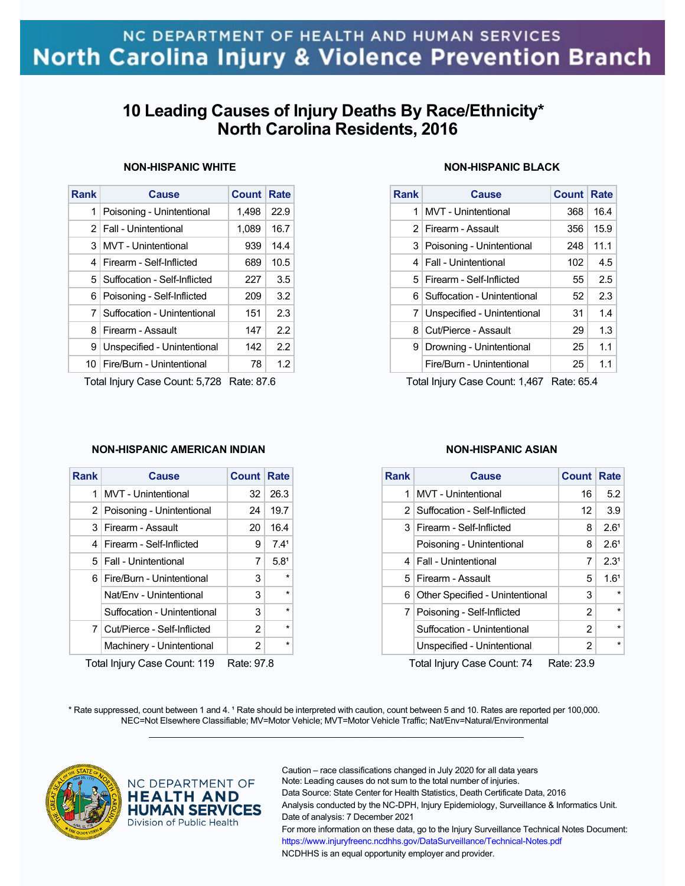# **10 Leading Causes of Injury Deaths By Race/Ethnicity\* North Carolina Residents, 2016**

## **NON-HISPANIC WHITE**

| Rank | Cause                           | Count | Rate |
|------|---------------------------------|-------|------|
| 1    | Poisoning - Unintentional       | 1.498 | 22.9 |
|      | 2   Fall - Unintentional        | 1,089 | 16.7 |
| 3    | MVT - Unintentional             | 939   | 14.4 |
|      | 4   Firearm - Self-Inflicted    | 689   | 10.5 |
| 5    | Suffocation - Self-Inflicted    | 227   | 3.5  |
| 6    | Poisoning - Self-Inflicted      | 209   | 3.2  |
|      | 7   Suffocation - Unintentional | 151   | 2.3  |
| 8    | Firearm - Assault               | 147   | 22   |
| 9    | Unspecified - Unintentional     | 142   | 22   |
|      | 10   Fire/Burn - Unintentional  | 78    | 1.2  |

Total Injury Case Count: 5,728 Rate: 87.6

### **NON-HISPANIC AMERICAN INDIAN**

| <b>Rank</b>                                | <b>Cause</b>                  | <b>Count Rate</b> |                  |  |
|--------------------------------------------|-------------------------------|-------------------|------------------|--|
| 1                                          | <b>MVT</b> - Unintentional    | 32                | 26.3             |  |
|                                            | 2 Poisoning - Unintentional   | 24                | 19.7             |  |
|                                            | 3 Firearm - Assault           | 20                | 16.4             |  |
| 4                                          | Firearm - Self-Inflicted      | 9                 | 7.4 <sup>1</sup> |  |
|                                            | 5   Fall - Unintentional      | 7                 | 5.8 <sup>1</sup> |  |
|                                            | 6   Fire/Burn - Unintentional | 3                 | $\star$          |  |
|                                            | Nat/Env - Unintentional       | 3                 | $\star$          |  |
|                                            | Suffocation - Unintentional   | 3                 | $\star$          |  |
|                                            | 7 Cut/Pierce - Self-Inflicted | $\mathcal{P}$     | $\star$          |  |
|                                            | Machinery - Unintentional     | $\overline{2}$    | $\star$          |  |
| Total Injune Cass Count: 110<br>Data: 07.0 |                               |                   |                  |  |

Total Injury Case Count: 119 Rate: 97.8

## **NON-HISPANIC BLACK**

| <b>Rank</b> | <b>Cause</b>                 | Count Rate |      |
|-------------|------------------------------|------------|------|
| 1           | <b>MVT</b> - Unintentional   | 368        | 16.4 |
|             | 2 Firearm - Assault          | 356        | 15.9 |
|             | 3 Poisoning - Unintentional  | 248        | 11.1 |
| 4           | <b>Fall - Unintentional</b>  | 102        | 4.5  |
|             | 5   Firearm - Self-Inflicted | 55         | 2.5  |
| 61          | Suffocation - Unintentional  | 52         | 2.3  |
| 7           | Unspecified - Unintentional  | 31         | 1.4  |
| 8           | Cut/Pierce - Assault         | 29         | 1.3  |
| 9           | Drowning - Unintentional     | 25         | 1.1  |
|             | Fire/Burn - Unintentional    | 25         | 1.1  |

Total Injury Case Count: 1,467 Rate: 65.4

### **NON-HISPANIC ASIAN**

| <b>Rank</b>                                                  | Cause                            | <b>Count Rate</b> |                  |
|--------------------------------------------------------------|----------------------------------|-------------------|------------------|
| 1                                                            | <b>MVT</b> - Unintentional       | 16                | 5.2              |
|                                                              | 2   Suffocation - Self-Inflicted | $12 \overline{ }$ | 3.9              |
| 3                                                            | Firearm - Self-Inflicted         | 8                 | 2.6 <sup>1</sup> |
|                                                              | Poisoning - Unintentional        | 8                 | 2.6 <sup>1</sup> |
|                                                              | 4   Fall - Unintentional         | 7                 | 2.3 <sup>1</sup> |
| 5 <sup>1</sup>                                               | Firearm - Assault                | 5                 | 1.6 <sup>1</sup> |
| 6                                                            | Other Specified - Unintentional  | 3                 | $\star$          |
|                                                              | 7   Poisoning - Self-Inflicted   | 2                 | $\star$          |
|                                                              | Suffocation - Unintentional      | 2                 | $\star$          |
|                                                              | Unspecified - Unintentional      | 2                 | $\star$          |
| $T$ atal Inium : $\bigcap$ gaa $\bigcap$ gunt: 74<br>∩ ממ⊾⊷ת |                                  |                   |                  |

Total Injury Case Count: 74 Rate: 23.9

\* Rate suppressed, count between 1 and 4. <sup>1</sup> Rate should be interpreted with caution, count between 5 and 10. Rates are reported per 100,000. NEC=Not Elsewhere Classifiable; MV=Motor Vehicle; MVT=Motor Vehicle Traffic; Nat/Env=Natural/Environmental  $\mathcal{L}_\mathcal{L} = \{ \mathcal{L}_\mathcal{L} = \{ \mathcal{L}_\mathcal{L} = \{ \mathcal{L}_\mathcal{L} = \{ \mathcal{L}_\mathcal{L} = \{ \mathcal{L}_\mathcal{L} = \{ \mathcal{L}_\mathcal{L} = \{ \mathcal{L}_\mathcal{L} = \{ \mathcal{L}_\mathcal{L} = \{ \mathcal{L}_\mathcal{L} = \{ \mathcal{L}_\mathcal{L} = \{ \mathcal{L}_\mathcal{L} = \{ \mathcal{L}_\mathcal{L} = \{ \mathcal{L}_\mathcal{L} = \{ \mathcal{L}_\mathcal{$ 



### NC DEPARTMENT OF **HEALTH AND HUMAN SERVICES** Division of Public Health

Caution – race classifications changed in July 2020 for all data years Note: Leading causes do not sum to the total number of injuries. Data Source: State Center for Health Statistics, Death Certificate Data, 2016 Analysis conducted by the NC-DPH, Injury Epidemiology, Surveillance & Informatics Unit. Date of analysis: 7 December 2021 For more information on these data, go to the Injury Surveillance Technical Notes Document: https://www.injuryfreenc.ncdhhs.gov/DataSurveillance/Technical-Notes.pdf NCDHHS is an equal opportunity employer and provider.